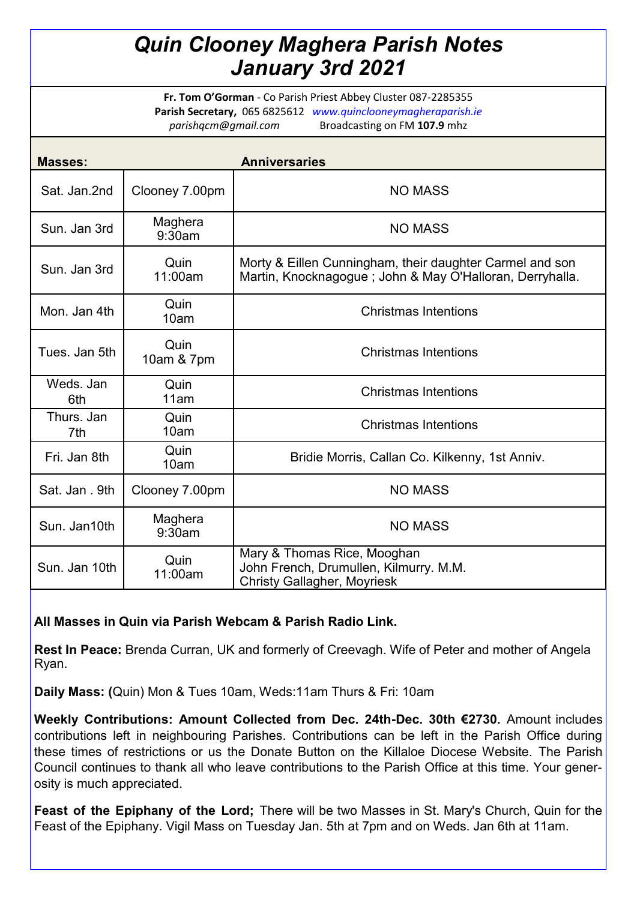# *Quin Clooney Maghera Parish Notes January 3rd 2021*

**Fr. Tom O'Gorman** - Co Parish Priest Abbey Cluster 087-2285355 **Parish Secretary,** 065 6825612 *www.quinclooneymagheraparish.ie parishqcm@gmail.com* Broadcasting on FM **107.9** mhz

| <b>Masses:</b>    |                    | <b>Anniversaries</b>                                                                                                 |
|-------------------|--------------------|----------------------------------------------------------------------------------------------------------------------|
| Sat. Jan.2nd      | Clooney 7.00pm     | <b>NO MASS</b>                                                                                                       |
| Sun. Jan 3rd      | Maghera<br>9:30am  | <b>NO MASS</b>                                                                                                       |
| Sun. Jan 3rd      | Quin<br>11:00am    | Morty & Eillen Cunningham, their daughter Carmel and son<br>Martin, Knocknagogue; John & May O'Halloran, Derryhalla. |
| Mon. Jan 4th      | Quin<br>10am       | <b>Christmas Intentions</b>                                                                                          |
| Tues. Jan 5th     | Quin<br>10am & 7pm | <b>Christmas Intentions</b>                                                                                          |
| Weds, Jan<br>6th  | Quin<br>11am       | <b>Christmas Intentions</b>                                                                                          |
| Thurs, Jan<br>7th | Quin<br>10am       | <b>Christmas Intentions</b>                                                                                          |
| Fri. Jan 8th      | Quin<br>10am       | Bridie Morris, Callan Co. Kilkenny, 1st Anniv.                                                                       |
| Sat. Jan. 9th     | Clooney 7.00pm     | <b>NO MASS</b>                                                                                                       |
| Sun. Jan10th      | Maghera<br>9:30am  | <b>NO MASS</b>                                                                                                       |
| Sun. Jan 10th     | Quin<br>11:00am    | Mary & Thomas Rice, Mooghan<br>John French, Drumullen, Kilmurry. M.M.<br><b>Christy Gallagher, Moyriesk</b>          |

### **All Masses in Quin via Parish Webcam & Parish Radio Link.**

**Rest In Peace:** Brenda Curran, UK and formerly of Creevagh. Wife of Peter and mother of Angela Ryan.

**Daily Mass: (**Quin) Mon & Tues 10am, Weds:11am Thurs & Fri: 10am

**Weekly Contributions: Amount Collected from Dec. 24th-Dec. 30th €2730.** Amount includes contributions left in neighbouring Parishes. Contributions can be left in the Parish Office during these times of restrictions or us the Donate Button on the Killaloe Diocese Website. The Parish Council continues to thank all who leave contributions to the Parish Office at this time. Your generosity is much appreciated.

**Feast of the Epiphany of the Lord;** There will be two Masses in St. Mary's Church, Quin for the Feast of the Epiphany. Vigil Mass on Tuesday Jan. 5th at 7pm and on Weds. Jan 6th at 11am.